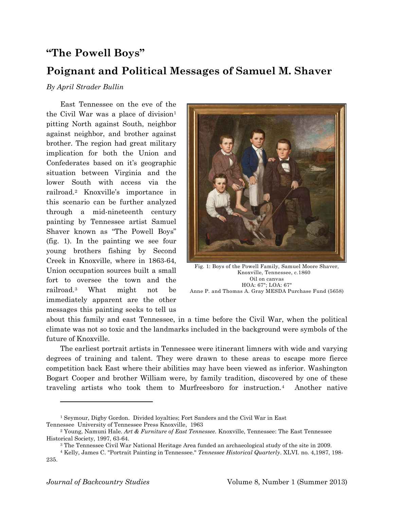## **"The Powell Boys"**

## **Poignant and Political Messages of Samuel M. Shaver**

## *By April Strader Bullin*

East Tennessee on the eve of the the Civil War was a place of division $1$ pitting North against South, neighbor against neighbor, and brother against brother. The region had great military implication for both the Union and Confederates based on it's geographic situation between Virginia and the lower South with access via the railroad.[2](#page-0-1) Knoxville's importance in this scenario can be further analyzed through a mid-nineteenth century painting by Tennessee artist Samuel Shaver known as "The Powell Boys" (fig. 1). In the painting we see four young brothers fishing by Second Creek in Knoxville, where in 1863-64, Union occupation sources built a small fort to oversee the town and the railroad.[3](#page-0-2) What might not be immediately apparent are the other messages this painting seeks to tell us



Fig. 1: Boys of the Powell Family, Samuel Moore Shaver, Knoxville, Tennessee, c.1860 Oil on canvas HOA: 67"; LOA: 67" Anne P. and Thomas A. Gray MESDA Purchase Fund (5658)

about this family and east Tennessee, in a time before the Civil War, when the political climate was not so toxic and the landmarks included in the background were symbols of the future of Knoxville.

The earliest portrait artists in Tennessee were itinerant limners with wide and varying degrees of training and talent. They were drawn to these areas to escape more fierce competition back East where their abilities may have been viewed as inferior. Washington Bogart Cooper and brother William were, by family tradition, discovered by one of these traveling artists who took them to Murfreesboro for instruction.[4](#page-0-3) Another native

<span id="page-0-0"></span><sup>1</sup> Seymour, Digby Gordon. Divided loyalties; Fort Sanders and the Civil War in East Tennessee University of Tennessee Press Knoxville, 1963

<span id="page-0-1"></span><sup>2</sup> Young, Namuni Hale. *Art & Furniture of East Tennessee.* Knoxville, Tennessee: The East Tennessee Historical Society, 1997, 63-64.

<sup>&</sup>lt;sup>3</sup> The Tennessee Civil War National Heritage Area funded an archaeological study of the site in 2009.

<span id="page-0-3"></span><span id="page-0-2"></span><sup>4</sup> Kelly, James C. "Portrait Painting in Tennessee." *Tennessee Historical Quarterly*. XLVI. no. 4,1987, 198- 235.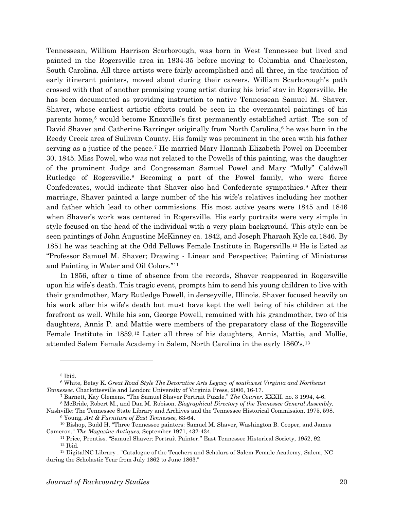Tennessean, William Harrison Scarborough, was born in West Tennessee but lived and painted in the Rogersville area in 1834-35 before moving to Columbia and Charleston, South Carolina. All three artists were fairly accomplished and all three, in the tradition of early itinerant painters, moved about during their careers. William Scarborough's path crossed with that of another promising young artist during his brief stay in Rogersville. He has been documented as providing instruction to native Tennessean Samuel M. Shaver. Shaver, whose earliest artistic efforts could be seen in the overmantel paintings of his parents home,[5](#page-1-0) would become Knoxville's first permanently established artist. The son of David Shaver and Catherine Barringer originally from North Carolina,<sup>[6](#page-1-1)</sup> he was born in the Reedy Creek area of Sullivan County. His family was prominent in the area with his father serving as a justice of the peace.[7](#page-1-2) He married Mary Hannah Elizabeth Powel on December 30, 1845. Miss Powel, who was not related to the Powells of this painting, was the daughter of the prominent Judge and Congressman Samuel Powel and Mary "Molly" Caldwell Rutledge of Rogersville.[8](#page-1-3) Becoming a part of the Powel family, who were fierce Confederates, would indicate that Shaver also had Confederate sympathies.[9](#page-1-4) After their marriage, Shaver painted a large number of the his wife's relatives including her mother and father which lead to other commissions. His most active years were 1845 and 1846 when Shaver's work was centered in Rogersville. His early portraits were very simple in style focused on the head of the individual with a very plain background. This style can be seen paintings of John Augustine McKinney ca. 1842, and Joseph Pharaoh Kyle ca.1846. By 1851 he was teaching at the Odd Fellows Female Institute in Rogersville.[10](#page-1-5) He is listed as "Professor Samuel M. Shaver; Drawing - Linear and Perspective; Painting of Miniatures and Painting in Water and Oil Colors."[11](#page-1-6)

In 1856, after a time of absence from the records, Shaver reappeared in Rogersville upon his wife's death. This tragic event, prompts him to send his young children to live with their grandmother, Mary Rutledge Powell, in Jerseyville, Illinois. Shaver focused heavily on his work after his wife's death but must have kept the well being of his children at the forefront as well. While his son, George Powell, remained with his grandmother, two of his daughters, Annis P. and Mattie were members of the preparatory class of the Rogersville Female Institute in 1859.[12](#page-1-7) Later all three of his daughters, Annis, Mattie, and Mollie, attended Salem Female Academy in Salem, North Carolina in the early 1860's.[13](#page-1-8)

<sup>5</sup> Ibid.

<span id="page-1-1"></span><span id="page-1-0"></span><sup>6</sup> White, Betsy K. *Great Road Style The Decorative Arts Legacy of southwest Virginia and Northeast Tennessee.* Charlottesville and London: University of Virginia Press, 2006, 16-17.

<sup>7</sup> Barnett, Kay Clemens. "The Samuel Shaver Portrait Puzzle." *The Courier*. XXXII. no. 3 1994, 4-6. <sup>8</sup> McBride, Robert M., and Dan M. Robison. *Biographical Directory of the Tennessee General Assembly.*

<span id="page-1-4"></span><span id="page-1-3"></span><span id="page-1-2"></span>Nashville: The Tennessee State Library and Archives and the Tennessee Historical Commission, 1975, 598. <sup>9</sup> Young, *Art & Furniture of East Tennessee,* 63-64.

<span id="page-1-6"></span><span id="page-1-5"></span><sup>10</sup> Bishop, Budd H. "Three Tennessee painters: Samuel M. Shaver, Washington B. Cooper, and James Cameron." *The Magazine Antiques,* September 1971, 432-434.

<sup>11</sup> Price, Prentiss. "Samuel Shaver: Portrait Painter." East Tennessee Historical Society, 1952, 92. <sup>12</sup> Ibid.

<span id="page-1-8"></span><span id="page-1-7"></span><sup>&</sup>lt;sup>13</sup> DigitalNC Library . "Catalogue of the Teachers and Scholars of Salem Female Academy, Salem, NC during the Scholastic Year from July 1862 to June 1863."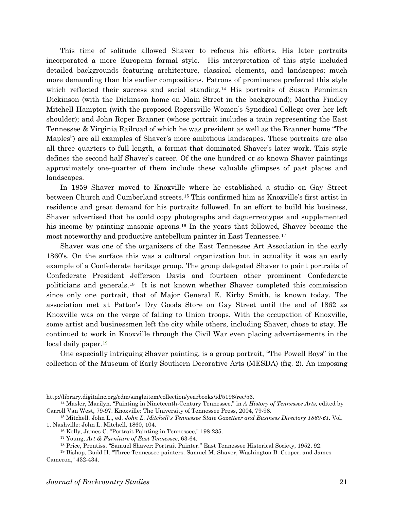This time of solitude allowed Shaver to refocus his efforts. His later portraits incorporated a more European formal style. His interpretation of this style included detailed backgrounds featuring architecture, classical elements, and landscapes; much more demanding than his earlier compositions. Patrons of prominence preferred this style which reflected their success and social standing.<sup>[14](#page-2-0)</sup> His portraits of Susan Penniman Dickinson (with the Dickinson home on Main Street in the background); Martha Findley Mitchell Hampton (with the proposed Rogersville Women's Synodical College over her left shoulder); and John Roper Branner (whose portrait includes a train representing the East Tennessee & Virginia Railroad of which he was president as well as the Branner home "The Maples") are all examples of Shaver's more ambitious landscapes. These portraits are also all three quarters to full length, a format that dominated Shaver's later work. This style defines the second half Shaver's career. Of the one hundred or so known Shaver paintings approximately one-quarter of them include these valuable glimpses of past places and landscapes.

In 1859 Shaver moved to Knoxville where he established a studio on Gay Street between Church and Cumberland streets.[15](#page-2-1) This confirmed him as Knoxville's first artist in residence and great demand for his portraits followed. In an effort to build his business, Shaver advertised that he could copy photographs and daguerreotypes and supplemented his income by painting masonic aprons.<sup>[16](#page-2-2)</sup> In the years that followed, Shaver became the most noteworthy and productive antebellum painter in East Tennessee.[17](#page-2-3)

Shaver was one of the organizers of the East Tennessee Art Association in the early 1860's. On the surface this was a cultural organization but in actuality it was an early example of a Confederate heritage group. The group delegated Shaver to paint portraits of Confederate President Jefferson Davis and fourteen other prominent Confederate politicians and generals[.18](#page-2-4) It is not known whether Shaver completed this commission since only one portrait, that of Major General E. Kirby Smith, is known today. The association met at Patton's Dry Goods Store on Gay Street until the end of 1862 as Knoxville was on the verge of falling to Union troops. With the occupation of Knoxville, some artist and businessmen left the city while others, including Shaver, chose to stay. He continued to work in Knoxville through the Civil War even placing advertisements in the local daily paper.<sup>19</sup>

One especially intriguing Shaver painting, is a group portrait, "The Powell Boys" in the collection of the Museum of Early Southern Decorative Arts (MESDA) (fig. 2). An imposing

http://library.digitalnc.org/cdm/singleitem/collection/yearbooks/id/5198/rec/56.

<span id="page-2-0"></span><sup>14</sup> Masler, Marilyn. "Painting in Nineteenth-Century Tennessee," in *A History of Tennessee Arts,* edited by Carroll Van West, 79-97. Knoxville: The University of Tennessee Press, 2004, 79-98.

<span id="page-2-2"></span><span id="page-2-1"></span><sup>15</sup> Mitchell, John L., ed. *John L. Mitchell's Tennessee State Gazetteer and Business Directory 1860-61.* Vol. 1. Nashville: John L. Mitchell, 1860, 104.

<sup>16</sup> Kelly, James C. "Portrait Painting in Tennessee," 198-235.

<sup>17</sup> Young, *Art & Furniture of East Tennessee*, 63-64.

<sup>18</sup> Price, Prentiss. "Samuel Shaver: Portrait Painter." East Tennessee Historical Society, 1952, 92.

<span id="page-2-5"></span><span id="page-2-4"></span><span id="page-2-3"></span><sup>19</sup> Bishop, Budd H. "Three Tennessee painters: Samuel M. Shaver, Washington B. Cooper, and James Cameron," 432-434.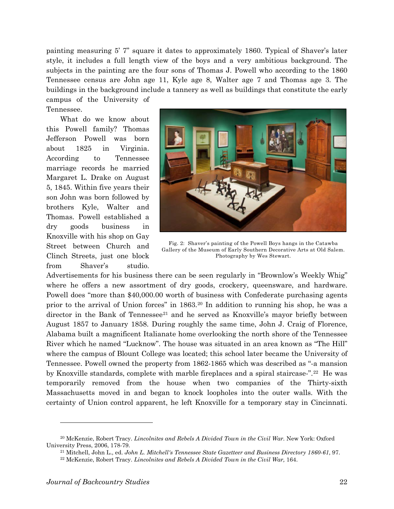painting measuring 5' 7" square it dates to approximately 1860. Typical of Shaver's later style, it includes a full length view of the boys and a very ambitious background. The subjects in the painting are the four sons of Thomas J. Powell who according to the 1860 Tennessee census are John age 11, Kyle age 8, Walter age 7 and Thomas age 3. The buildings in the background include a tannery as well as buildings that constitute the early

campus of the University of Tennessee.

What do we know about this Powell family? Thomas Jefferson Powell was born about 1825 in Virginia. According to Tennessee marriage records he married Margaret L. Drake on August 5, 1845. Within five years their son John was born followed by brothers Kyle, Walter and Thomas. Powell established a dry goods business in Knoxville with his shop on Gay Street between Church and Clinch Streets, just one block from Shaver's studio.



Fig. 2: Shaver's painting of the Powell Boys hangs in the Catawba Gallery of the Museum of Early Southern Decorative Arts at Old Salem. Photography by Wes Stewart.

Advertisements for his business there can be seen regularly in "Brownlow's Weekly Whig" where he offers a new assortment of dry goods, crockery, queensware, and hardware. Powell does "more than \$40,000.00 worth of business with Confederate purchasing agents prior to the arrival of Union forces" in 1863.[20](#page-3-0) In addition to running his shop, he was a director in the Bank of Tennessee<sup>[21](#page-3-1)</sup> and he served as Knoxville's mayor briefly between August 1857 to January 1858. During roughly the same time, John J. Craig of Florence, Alabama built a magnificent Italianate home overlooking the north shore of the Tennessee River which he named "Lucknow". The house was situated in an area known as "The Hill" where the campus of Blount College was located; this school later became the University of Tennessee. Powell owned the property from 1862-1865 which was described as "-a mansion by Knoxville standards, complete with marble fireplaces and a spiral staircase-".[22](#page-3-2) He was temporarily removed from the house when two companies of the Thirty-sixth Massachusetts moved in and began to knock loopholes into the outer walls. With the certainty of Union control apparent, he left Knoxville for a temporary stay in Cincinnati.

<span id="page-3-2"></span><span id="page-3-1"></span><span id="page-3-0"></span><sup>20</sup> McKenzie, Robert Tracy. *Lincolnites and Rebels A Divided Town in the Civil War.* New York: Oxford University Press, 2006, 178-79.

<sup>21</sup> Mitchell, John L., ed. *John L. Mitchell's Tennessee State Gazetteer and Business Directory 1860-61*, 97.

<sup>22</sup> McKenzie, Robert Tracy. *Lincolnites and Rebels A Divided Town in the Civil War,* 164.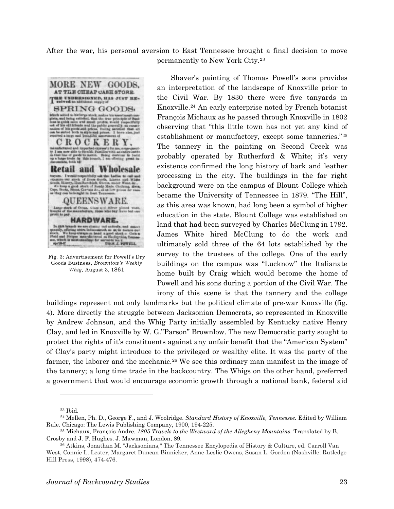After the war, his personal aversion to East Tennessee brought a final decision to move permanently to New York City.[23](#page-4-0)



Fig. 3: Advertisement for Powell's Dry Goods Business, *Brownlow's Weekly Whig,* August 3, 1861

Shaver's painting of Thomas Powell's sons provides an interpretation of the landscape of Knoxville prior to the Civil War. By 1830 there were five tanyards in Knoxville.[24](#page-4-1) An early enterprise noted by French botanist François Michaux as he passed through Knoxville in 1802 observing that "this little town has not yet any kind of establishment or manufactory, except some tanneries."[25](#page-4-2) The tannery in the painting on Second Creek was probably operated by Rutherford & White; it's very existence confirmed the long history of bark and leather processing in the city. The buildings in the far right background were on the campus of Blount College which became the University of Tennessee in 1879. "The Hill", as this area was known, had long been a symbol of higher education in the state. Blount College was established on land that had been surveyed by Charles McClung in 1792. James White hired McClung to do the work and ultimately sold three of the 64 lots established by the survey to the trustees of the college. One of the early buildings on the campus was "Lucknow" the Italianate home built by Craig which would become the home of Powell and his sons during a portion of the Civil War. The irony of this scene is that the tannery and the college

buildings represent not only landmarks but the political climate of pre-war Knoxville (fig. 4). More directly the struggle between Jacksonian Democrats, so represented in Knoxville by Andrew Johnson, and the Whig Party initially assembled by Kentucky native Henry Clay, and led in Knoxville by W. G."Parson" Brownlow. The new Democratic party sought to protect the rights of it's constituents against any unfair benefit that the "American System" of Clay's party might introduce to the privileged or wealthy elite. It was the party of the farmer, the laborer and the mechanic.<sup>[26](#page-4-3)</sup> We see this ordinary man manifest in the image of the tannery; a long time trade in the backcountry. The Whigs on the other hand, preferred a government that would encourage economic growth through a national bank, federal aid

 $\overline{a}$ 

<sup>23</sup> Ibid.

<span id="page-4-1"></span><span id="page-4-0"></span><sup>24</sup> Mellen, Ph. D., George F., and J. Woolridge. *Standard History of Knoxville, Tennessee.* Edited by William Rule. Chicago: The Lewis Publishing Company, 1900, 194-225.

<span id="page-4-2"></span><sup>25</sup> Michaux, François Andre. *1805 Travels to the Westward of the Allegheny Mountains.* Translated by B. Crosby and J. F. Hughes. J. Mawman, London, 89.

<span id="page-4-3"></span><sup>26</sup> Atkins, Jonathan M. "Jacksonians," The Tennessee Encylopedia of History & Culture, ed. Carroll Van West, Connie L. Lester, Margaret Duncan Binnicker, Anne-Leslie Owens, Susan L. Gordon (Nashville: Rutledge Hill Press, 1998), 474-476.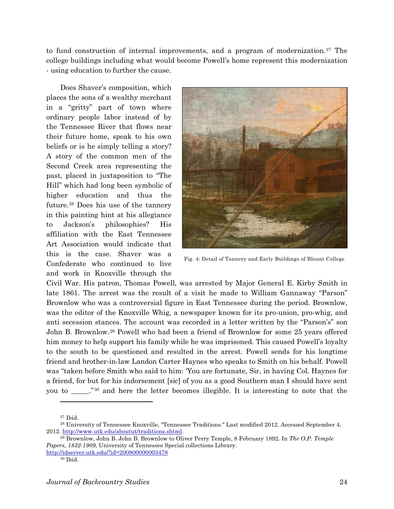to fund construction of internal improvements, and a program of modernization.<sup>[27](#page-5-0)</sup> The college buildings including what would become Powell's home represent this modernization - using education to further the cause.

Does Shaver's composition, which places the sons of a wealthy merchant in a "gritty" part of town where ordinary people labor instead of by the Tennessee River that flows near their future home, speak to his own beliefs or is he simply telling a story? A story of the common men of the Second Creek area representing the past, placed in juxtaposition to "The Hill" which had long been symbolic of higher education and thus the future.[28](#page-5-1) Does his use of the tannery in this painting hint at his allegiance to Jackson's philosophies? His affiliation with the East Tennessee Art Association would indicate that this is the case. Shaver was a Confederate who continued to live and work in Knoxville through the



Fig. 4: Detail of Tannery and Early Buildings of Blount College

Civil War. His patron, Thomas Powell, was arrested by Major General E. Kirby Smith in late 1861. The arrest was the result of a visit he made to William Gannaway "Parson" Brownlow who was a controversial figure in East Tennessee during the period. Brownlow, was the editor of the Knoxville Whig, a newspaper known for its pro-union, pro-whig, and anti secession stances. The account was recorded in a letter written by the "Parson's" son John B. Brownlow.[29](#page-5-2) Powell who had been a friend of Brownlow for some 25 years offered him money to help support his family while he was imprisoned. This caused Powell's loyalty to the south to be questioned and resulted in the arrest. Powell sends for his longtime friend and brother-in-law Landon Carter Haynes who speaks to Smith on his behalf. Powell was "taken before Smith who said to him: 'You are fortunate, Sir, in having Col. Haynes for a friend, for but for his indorsement [sic] of you as a good Southern man I should have sent you to \_\_\_\_\_."[30](#page-5-3) and here the letter becomes illegible. It is interesting to note that the

<sup>27</sup> Ibid.

<span id="page-5-1"></span><span id="page-5-0"></span><sup>28</sup> University of Tennessee Knoxville, "Tennessee Traditions." Last modified 2012. Accessed September 4, 2012. [http://www.utk.edu/aboutut/traditions.shtml.](http://www.utk.edu/aboutut/traditions.shtml)

<span id="page-5-2"></span><sup>29</sup> Brownlow, John B. John B. Brownlow to Oliver Perry Temple, 8 February 1892. In *The O.P. Temple Papers, 1832-1909,* University of Tennessee Special collections Library. <http://idserver.utk.edu/?id=200800000003478>

<span id="page-5-3"></span>